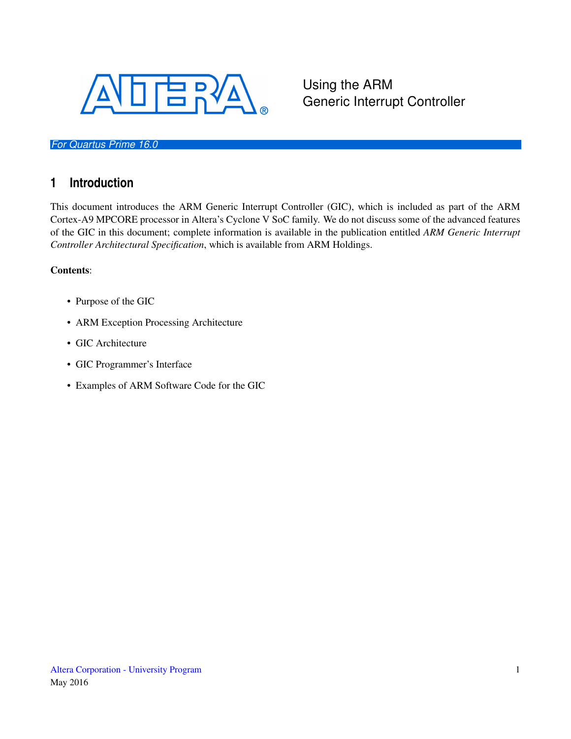

#### *For Quartus Prime 16.0*

## **1 Introduction**

This document introduces the ARM Generic Interrupt Controller (GIC), which is included as part of the ARM Cortex-A9 MPCORE processor in Altera's Cyclone V SoC family. We do not discuss some of the advanced features of the GIC in this document; complete information is available in the publication entitled *ARM Generic Interrupt Controller Architectural Specification*, which is available from ARM Holdings.

Using the ARM

Generic Interrupt Controller

#### Contents:

- Purpose of the GIC
- ARM Exception Processing Architecture
- GIC Architecture
- GIC Programmer's Interface
- Examples of ARM Software Code for the GIC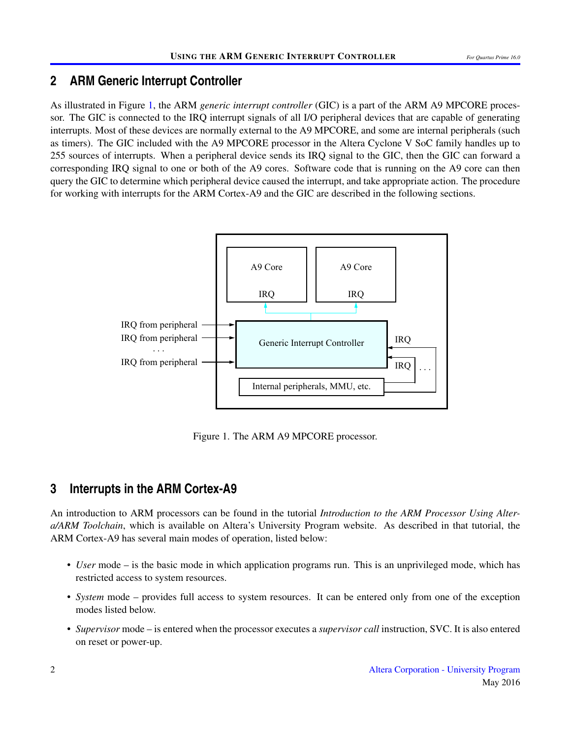### **2 ARM Generic Interrupt Controller**

As illustrated in Figure [1,](#page-1-0) the ARM *generic interrupt controller* (GIC) is a part of the ARM A9 MPCORE processor. The GIC is connected to the IRQ interrupt signals of all I/O peripheral devices that are capable of generating interrupts. Most of these devices are normally external to the A9 MPCORE, and some are internal peripherals (such as timers). The GIC included with the A9 MPCORE processor in the Altera Cyclone V SoC family handles up to 255 sources of interrupts. When a peripheral device sends its IRQ signal to the GIC, then the GIC can forward a corresponding IRQ signal to one or both of the A9 cores. Software code that is running on the A9 core can then query the GIC to determine which peripheral device caused the interrupt, and take appropriate action. The procedure for working with interrupts for the ARM Cortex-A9 and the GIC are described in the following sections.

<span id="page-1-0"></span>

Figure 1. The ARM A9 MPCORE processor.

## **3 Interrupts in the ARM Cortex-A9**

An introduction to ARM processors can be found in the tutorial *Introduction to the ARM Processor Using Altera/ARM Toolchain*, which is available on Altera's University Program website. As described in that tutorial, the ARM Cortex-A9 has several main modes of operation, listed below:

- *User* mode is the basic mode in which application programs run. This is an unprivileged mode, which has restricted access to system resources.
- *System* mode provides full access to system resources. It can be entered only from one of the exception modes listed below.
- *Supervisor* mode is entered when the processor executes a *supervisor call* instruction, SVC. It is also entered on reset or power-up.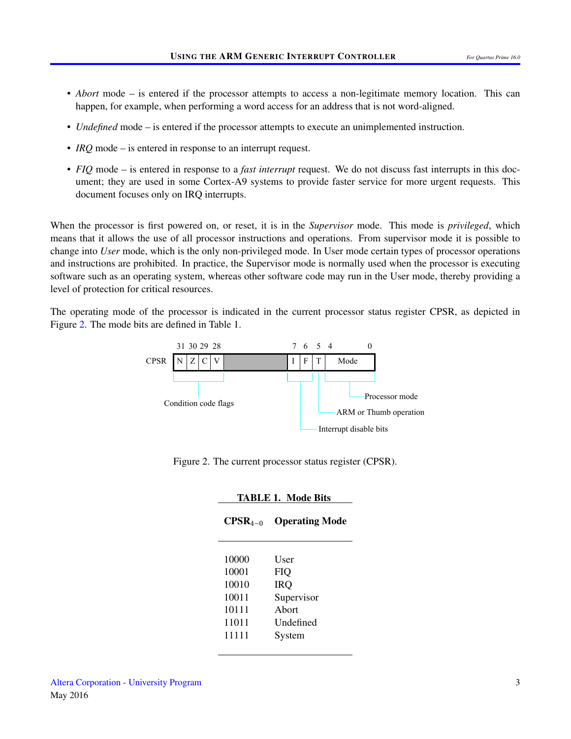- *Abort* mode is entered if the processor attempts to access a non-legitimate memory location. This can happen, for example, when performing a word access for an address that is not word-aligned.
- *Undefined* mode is entered if the processor attempts to execute an unimplemented instruction.
- *IRQ* mode is entered in response to an interrupt request.
- *FIQ* mode is entered in response to a *fast interrupt* request. We do not discuss fast interrupts in this document; they are used in some Cortex-A9 systems to provide faster service for more urgent requests. This document focuses only on IRQ interrupts.

When the processor is first powered on, or reset, it is in the *Supervisor* mode. This mode is *privileged*, which means that it allows the use of all processor instructions and operations. From supervisor mode it is possible to change into *User* mode, which is the only non-privileged mode. In User mode certain types of processor operations and instructions are prohibited. In practice, the Supervisor mode is normally used when the processor is executing software such as an operating system, whereas other software code may run in the User mode, thereby providing a level of protection for critical resources.

<span id="page-2-0"></span>The operating mode of the processor is indicated in the current processor status register CPSR, as depicted in Figure [2.](#page-2-0) The mode bits are defined in Table 1.



Figure 2. The current processor status register (CPSR).

| <b>TABLE 1. Mode Bits</b> |                           |  |  |
|---------------------------|---------------------------|--|--|
| $CPSR_{4-0}$              | <b>Operating Mode</b>     |  |  |
| 10000                     | User                      |  |  |
| 10001<br>10010            | FIQ<br><b>IRQ</b>         |  |  |
| 10011                     | Supervisor                |  |  |
| 10111<br>11011            | Abort<br><b>Undefined</b> |  |  |
| 11111                     | System                    |  |  |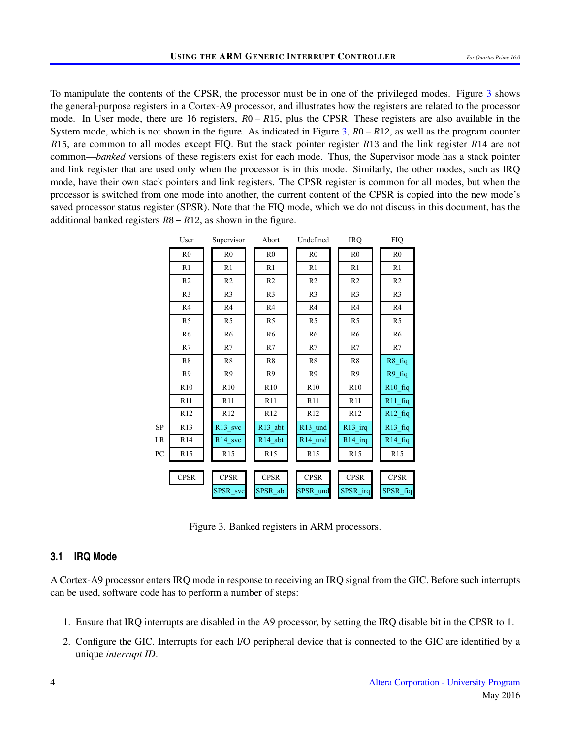To manipulate the contents of the CPSR, the processor must be in one of the privileged modes. Figure [3](#page-3-0) shows the general-purpose registers in a Cortex-A9 processor, and illustrates how the registers are related to the processor mode. In User mode, there are 16 registers, *R*0 − *R*15, plus the CPSR. These registers are also available in the System mode, which is not shown in the figure. As indicated in Figure [3,](#page-3-0) *R*0−*R*12, as well as the program counter *R*15, are common to all modes except FIQ. But the stack pointer register *R*13 and the link register *R*14 are not common—*banked* versions of these registers exist for each mode. Thus, the Supervisor mode has a stack pointer and link register that are used only when the processor is in this mode. Similarly, the other modes, such as IRQ mode, have their own stack pointers and link registers. The CPSR register is common for all modes, but when the processor is switched from one mode into another, the current content of the CPSR is copied into the new mode's saved processor status register (SPSR). Note that the FIQ mode, which we do not discuss in this document, has the additional banked registers *R*8−*R*12, as shown in the figure.

<span id="page-3-0"></span>

|            |                 | User<br>Supervisor    |  | Abort               |  | Undefined           |  | <b>IRQ</b>          |  | <b>FIQ</b>          |
|------------|-----------------|-----------------------|--|---------------------|--|---------------------|--|---------------------|--|---------------------|
|            | R <sub>0</sub>  | R <sub>0</sub>        |  | R <sub>0</sub>      |  | R <sub>0</sub>      |  | R <sub>0</sub>      |  | R <sub>0</sub>      |
|            | R1              | R1                    |  | R1                  |  | R1                  |  | R1                  |  | R1                  |
|            | R <sub>2</sub>  | R <sub>2</sub>        |  | R <sub>2</sub>      |  | R <sub>2</sub>      |  | R <sub>2</sub>      |  | R <sub>2</sub>      |
|            | R <sub>3</sub>  | R <sub>3</sub>        |  | R <sub>3</sub>      |  | R <sub>3</sub>      |  | R <sub>3</sub>      |  | R <sub>3</sub>      |
|            | R4              | R4                    |  | R4                  |  | R4                  |  | R4                  |  | R4                  |
|            | R <sub>5</sub>  | R <sub>5</sub>        |  | R <sub>5</sub>      |  | R <sub>5</sub>      |  | R <sub>5</sub>      |  | R <sub>5</sub>      |
|            | R <sub>6</sub>  | R <sub>6</sub>        |  | R <sub>6</sub>      |  | R <sub>6</sub>      |  | R <sub>6</sub>      |  | R <sub>6</sub>      |
|            | R7              | R7                    |  | R7                  |  | R7                  |  | R7                  |  | R7                  |
|            | R8              | R8                    |  | R8                  |  | R8                  |  | R8                  |  | $R8$ _fiq           |
|            | R9              | R <sub>9</sub>        |  | R <sub>9</sub>      |  | R <sub>9</sub>      |  | R <sub>9</sub>      |  | $R9$ _fiq           |
|            | R10             | R10                   |  | R10                 |  | R10                 |  | R10                 |  | $R10$ _fiq          |
|            | R11             | R11                   |  | R11                 |  | R11                 |  | R11                 |  | $R11$ _fiq          |
|            | R12             | R12                   |  | R12                 |  | R12                 |  | R12                 |  | $R12$ _fiq          |
| ${\rm SP}$ | R <sub>13</sub> | $R13$ <sub>_svc</sub> |  | $R13$ _abt          |  | R <sub>13_und</sub> |  | R <sub>13_irq</sub> |  | R <sub>13_fiq</sub> |
| LR         | R <sub>14</sub> | R <sub>14_svc</sub>   |  | R <sub>14_abt</sub> |  | R <sub>14_und</sub> |  | $R14$ _irq          |  | $R14$ _fiq          |
| PC         | R15             | R15                   |  | R15                 |  | R15                 |  | R15                 |  | R15                 |
|            |                 |                       |  |                     |  |                     |  |                     |  |                     |
|            | <b>CPSR</b>     | <b>CPSR</b>           |  | <b>CPSR</b>         |  | <b>CPSR</b>         |  | <b>CPSR</b>         |  | <b>CPSR</b>         |
|            |                 | SPSR_svc              |  | SPSR abt            |  | SPSR_und            |  | SPSR irq            |  | SPSR_fiq            |

Figure 3. Banked registers in ARM processors.

#### **3.1 IRQ Mode**

A Cortex-A9 processor enters IRQ mode in response to receiving an IRQ signal from the GIC. Before such interrupts can be used, software code has to perform a number of steps:

- 1. Ensure that IRQ interrupts are disabled in the A9 processor, by setting the IRQ disable bit in the CPSR to 1.
- 2. Configure the GIC. Interrupts for each I/O peripheral device that is connected to the GIC are identified by a unique *interrupt ID*.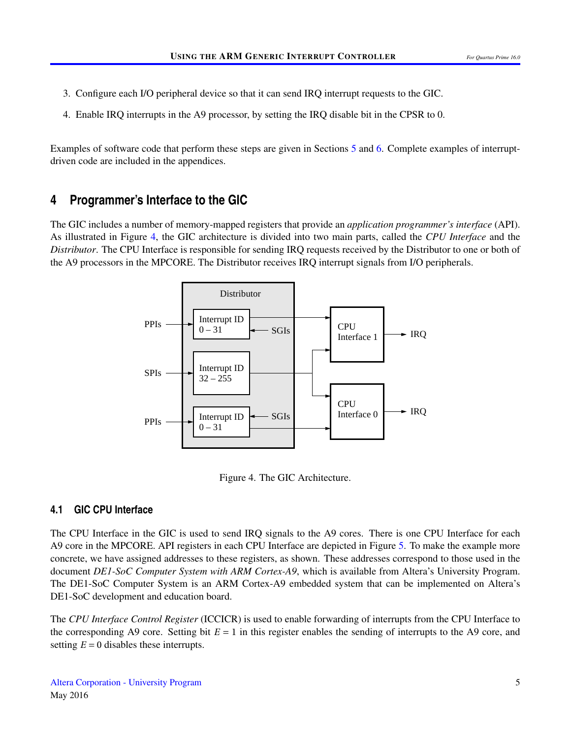- 3. Configure each I/O peripheral device so that it can send IRQ interrupt requests to the GIC.
- 4. Enable IRQ interrupts in the A9 processor, by setting the IRQ disable bit in the CPSR to 0.

Examples of software code that perform these steps are given in Sections [5](#page-7-0) and [6.](#page-9-0) Complete examples of interruptdriven code are included in the appendices.

#### **4 Programmer's Interface to the GIC**

<span id="page-4-0"></span>The GIC includes a number of memory-mapped registers that provide an *application programmer's interface* (API). As illustrated in Figure [4,](#page-4-0) the GIC architecture is divided into two main parts, called the *CPU Interface* and the *Distributor*. The CPU Interface is responsible for sending IRQ requests received by the Distributor to one or both of the A9 processors in the MPCORE. The Distributor receives IRQ interrupt signals from I/O peripherals.



Figure 4. The GIC Architecture.

#### **4.1 GIC CPU Interface**

The CPU Interface in the GIC is used to send IRQ signals to the A9 cores. There is one CPU Interface for each A9 core in the MPCORE. API registers in each CPU Interface are depicted in Figure [5.](#page-5-0) To make the example more concrete, we have assigned addresses to these registers, as shown. These addresses correspond to those used in the document *DE1-SoC Computer System with ARM Cortex-A9*, which is available from Altera's University Program. The DE1-SoC Computer System is an ARM Cortex-A9 embedded system that can be implemented on Altera's DE1-SoC development and education board.

The *CPU Interface Control Register* (ICCICR) is used to enable forwarding of interrupts from the CPU Interface to the corresponding A9 core. Setting bit  $E = 1$  in this register enables the sending of interrupts to the A9 core, and setting  $E = 0$  disables these interrupts.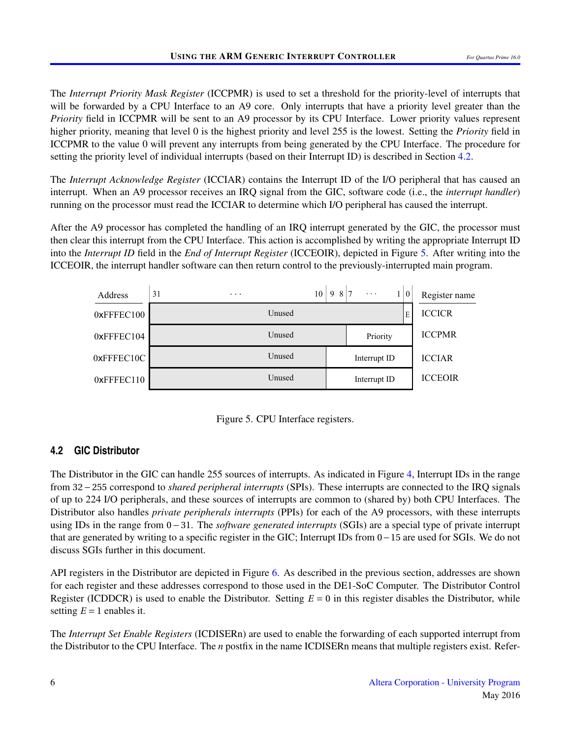The *Interrupt Priority Mask Register* (ICCPMR) is used to set a threshold for the priority-level of interrupts that will be forwarded by a CPU Interface to an A9 core. Only interrupts that have a priority level greater than the *Priority* field in ICCPMR will be sent to an A9 processor by its CPU Interface. Lower priority values represent higher priority, meaning that level 0 is the highest priority and level 255 is the lowest. Setting the *Priority* field in ICCPMR to the value 0 will prevent any interrupts from being generated by the CPU Interface. The procedure for setting the priority level of individual interrupts (based on their Interrupt ID) is described in Section [4.2.](#page-5-1)

The *Interrupt Acknowledge Register* (ICCIAR) contains the Interrupt ID of the I/O peripheral that has caused an interrupt. When an A9 processor receives an IRQ signal from the GIC, software code (i.e., the *interrupt handler*) running on the processor must read the ICCIAR to determine which I/O peripheral has caused the interrupt.

After the A9 processor has completed the handling of an IRQ interrupt generated by the GIC, the processor must then clear this interrupt from the CPU Interface. This action is accomplished by writing the appropriate Interrupt ID into the *Interrupt ID* field in the *End of Interrupt Register* (ICCEOIR), depicted in Figure [5.](#page-5-0) After writing into the ICCEOIR, the interrupt handler software can then return control to the previously-interrupted main program.

<span id="page-5-0"></span>



#### <span id="page-5-1"></span>**4.2 GIC Distributor**

The Distributor in the GIC can handle 255 sources of interrupts. As indicated in Figure [4,](#page-4-0) Interrupt IDs in the range from 32−255 correspond to *shared peripheral interrupts* (SPIs). These interrupts are connected to the IRQ signals of up to 224 I/O peripherals, and these sources of interrupts are common to (shared by) both CPU Interfaces. The Distributor also handles *private peripherals interrupts* (PPIs) for each of the A9 processors, with these interrupts using IDs in the range from 0−31. The *software generated interrupts* (SGIs) are a special type of private interrupt that are generated by writing to a specific register in the GIC; Interrupt IDs from 0−15 are used for SGIs. We do not discuss SGIs further in this document.

API registers in the Distributor are depicted in Figure [6.](#page-6-0) As described in the previous section, addresses are shown for each register and these addresses correspond to those used in the DE1-SoC Computer. The Distributor Control Register (ICDDCR) is used to enable the Distributor. Setting *E* = 0 in this register disables the Distributor, while setting  $E = 1$  enables it.

The *Interrupt Set Enable Registers* (ICDISERn) are used to enable the forwarding of each supported interrupt from the Distributor to the CPU Interface. The *n* postfix in the name ICDISERn means that multiple registers exist. Refer-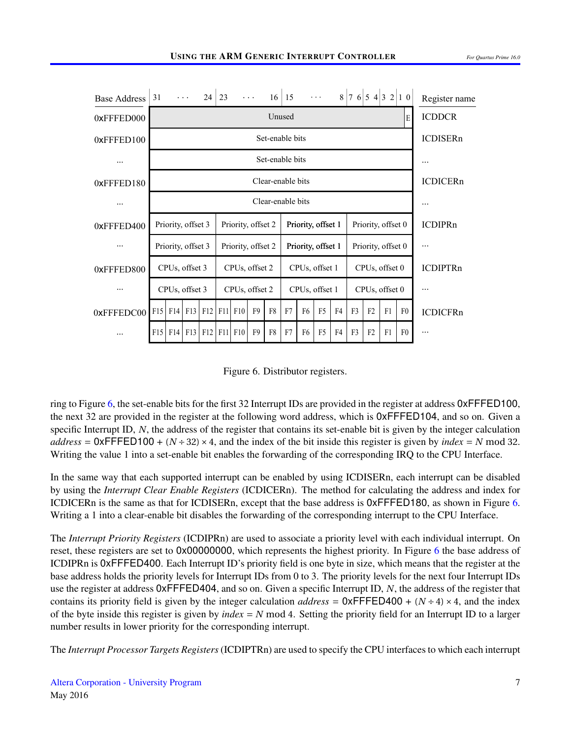<span id="page-6-0"></span>

Figure 6. Distributor registers.

ring to Figure [6,](#page-6-0) the set-enable bits for the first 32 Interrupt IDs are provided in the register at address 0xFFFED100, the next 32 are provided in the register at the following word address, which is 0xFFFED104, and so on. Given a specific Interrupt ID, *N*, the address of the register that contains its set-enable bit is given by the integer calculation  $address = 0 \times \text{FFFED100} + (N \div 32) \times 4$ , and the index of the bit inside this register is given by *index* = *N* mod 32. Writing the value 1 into a set-enable bit enables the forwarding of the corresponding IRQ to the CPU Interface.

In the same way that each supported interrupt can be enabled by using ICDISERn, each interrupt can be disabled by using the *Interrupt Clear Enable Registers* (ICDICERn). The method for calculating the address and index for ICDICERn is the same as that for ICDISERn, except that the base address is 0xFFFED180, as shown in Figure [6.](#page-6-0) Writing a 1 into a clear-enable bit disables the forwarding of the corresponding interrupt to the CPU Interface.

The *Interrupt Priority Registers* (ICDIPRn) are used to associate a priority level with each individual interrupt. On reset, these registers are set to 0x00000000, which represents the highest priority. In Figure [6](#page-6-0) the base address of ICDIPRn is 0xFFFED400. Each Interrupt ID's priority field is one byte in size, which means that the register at the base address holds the priority levels for Interrupt IDs from 0 to 3. The priority levels for the next four Interrupt IDs use the register at address 0xFFFED404, and so on. Given a specific Interrupt ID, *N*, the address of the register that contains its priority field is given by the integer calculation  $address = 0 \times \text{FFFED400} + (N \div 4) \times 4$ , and the index of the byte inside this register is given by  $index = N \mod 4$ . Setting the priority field for an Interrupt ID to a larger number results in lower priority for the corresponding interrupt.

The *Interrupt Processor Targets Registers*(ICDIPTRn) are used to specify the CPU interfaces to which each interrupt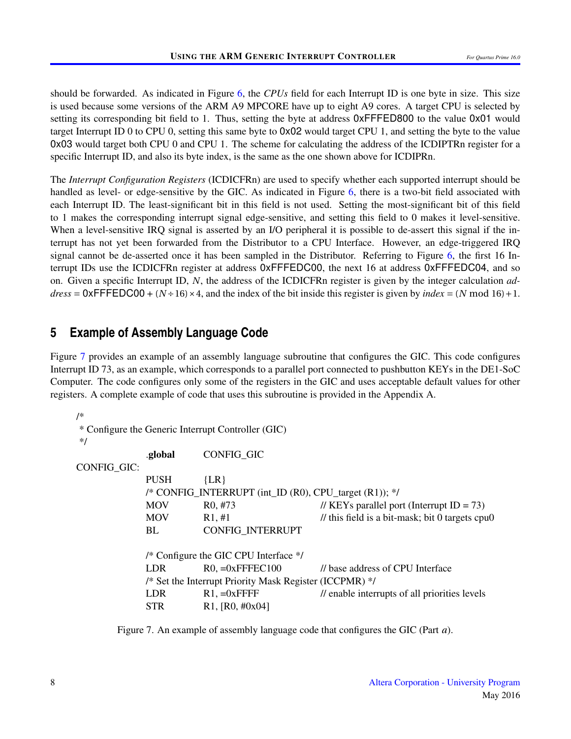should be forwarded. As indicated in Figure [6,](#page-6-0) the *CPUs* field for each Interrupt ID is one byte in size. This size is used because some versions of the ARM A9 MPCORE have up to eight A9 cores. A target CPU is selected by setting its corresponding bit field to 1. Thus, setting the byte at address  $0 \times$ FFFED800 to the value 0x01 would target Interrupt ID 0 to CPU 0, setting this same byte to 0x02 would target CPU 1, and setting the byte to the value 0x03 would target both CPU 0 and CPU 1. The scheme for calculating the address of the ICDIPTRn register for a specific Interrupt ID, and also its byte index, is the same as the one shown above for ICDIPRn.

The *Interrupt Configuration Registers* (ICDICFRn) are used to specify whether each supported interrupt should be handled as level- or edge-sensitive by the GIC. As indicated in Figure [6,](#page-6-0) there is a two-bit field associated with each Interrupt ID. The least-significant bit in this field is not used. Setting the most-significant bit of this field to 1 makes the corresponding interrupt signal edge-sensitive, and setting this field to 0 makes it level-sensitive. When a level-sensitive IRQ signal is asserted by an I/O peripheral it is possible to de-assert this signal if the interrupt has not yet been forwarded from the Distributor to a CPU Interface. However, an edge-triggered IRQ signal cannot be de-asserted once it has been sampled in the Distributor. Referring to Figure [6,](#page-6-0) the first 16 Interrupt IDs use the ICDICFRn register at address 0xFFFEDC00, the next 16 at address 0xFFFEDC04, and so on. Given a specific Interrupt ID, *N*, the address of the ICDICFRn register is given by the integer calculation *address* =  $0x$ FFFEDC00 + (*N* ÷ 16) × 4, and the index of the bit inside this register is given by *index* = (*N* mod 16) + 1.

## <span id="page-7-0"></span>**5 Example of Assembly Language Code**

Figure [7](#page-7-1) provides an example of an assembly language subroutine that configures the GIC. This code configures Interrupt ID 73, as an example, which corresponds to a parallel port connected to pushbutton KEYs in the DE1-SoC Computer. The code configures only some of the registers in the GIC and uses acceptable default values for other registers. A complete example of code that uses this subroutine is provided in the Appendix A.

```
/*
* Configure the Generic Interrupt Controller (GIC)
*/
            .global CONFIG_GIC
CONFIG_GIC:
            PUSH {LR}
            /* CONFIG_INTERRUPT (int_ID (R0), CPU_target (R1)); */
            MOV R0, #73 // KEYs parallel port (Interrupt ID = 73)
            MOV R1, #1 // this field is a bit-mask; bit 0 targets cpu0
            BL CONFIG_INTERRUPT
            /* Configure the GIC CPU Interface */
            LDR R0 = 0xFFFEC100 // base address of CPU Interface
            /* Set the Interrupt Priority Mask Register (ICCPMR) */
            LDR R1, =0x FFFF // enable interrupts of all priorities levels
            STR R1, [R0, #0x04]
```
Figure 7. An example of assembly language code that configures the GIC (Part *a*).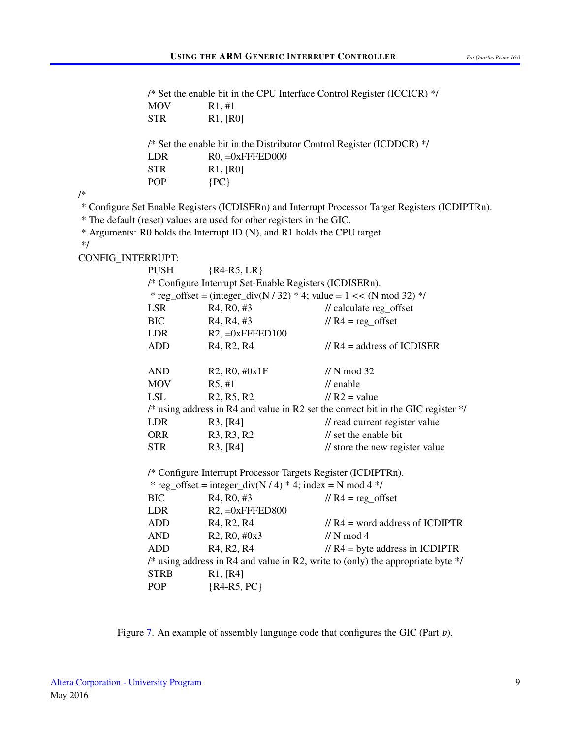|                   | /* Set the enable bit in the CPU Interface Control Register (ICCICR) */           |                                                                                   |                                                                                                  |  |  |  |  |  |  |  |
|-------------------|-----------------------------------------------------------------------------------|-----------------------------------------------------------------------------------|--------------------------------------------------------------------------------------------------|--|--|--|--|--|--|--|
|                   | <b>MOV</b>                                                                        | R1, #1                                                                            |                                                                                                  |  |  |  |  |  |  |  |
|                   | <b>STR</b>                                                                        | R1, [R0]                                                                          |                                                                                                  |  |  |  |  |  |  |  |
|                   |                                                                                   | /* Set the enable bit in the Distributor Control Register (ICDDCR) */             |                                                                                                  |  |  |  |  |  |  |  |
|                   | <b>LDR</b>                                                                        | $R0, =0x$ FFFED000                                                                |                                                                                                  |  |  |  |  |  |  |  |
|                   | <b>STR</b>                                                                        | R1, [R0]                                                                          |                                                                                                  |  |  |  |  |  |  |  |
|                   | <b>POP</b>                                                                        | $\{PC\}$                                                                          |                                                                                                  |  |  |  |  |  |  |  |
| /*                |                                                                                   |                                                                                   |                                                                                                  |  |  |  |  |  |  |  |
|                   |                                                                                   |                                                                                   | * Configure Set Enable Registers (ICDISERn) and Interrupt Processor Target Registers (ICDIPTRn). |  |  |  |  |  |  |  |
|                   |                                                                                   | * The default (reset) values are used for other registers in the GIC.             |                                                                                                  |  |  |  |  |  |  |  |
|                   |                                                                                   | * Arguments: R0 holds the Interrupt ID (N), and R1 holds the CPU target           |                                                                                                  |  |  |  |  |  |  |  |
| $*$ /             |                                                                                   |                                                                                   |                                                                                                  |  |  |  |  |  |  |  |
| CONFIG_INTERRUPT: |                                                                                   |                                                                                   |                                                                                                  |  |  |  |  |  |  |  |
|                   | <b>PUSH</b>                                                                       | ${R4-R5, LR}$                                                                     |                                                                                                  |  |  |  |  |  |  |  |
|                   |                                                                                   | /* Configure Interrupt Set-Enable Registers (ICDISERn).                           |                                                                                                  |  |  |  |  |  |  |  |
|                   |                                                                                   |                                                                                   | * reg_offset = (integer_div(N / 32) * 4; value = $1 \lt \lt$ (N mod 32) */                       |  |  |  |  |  |  |  |
|                   | <b>LSR</b>                                                                        | R <sub>4</sub> , R <sub>0</sub> , #3                                              | // calculate reg_offset                                                                          |  |  |  |  |  |  |  |
|                   | <b>BIC</b>                                                                        | R <sub>4</sub> , R <sub>4</sub> , #3                                              | $// R4 = reg_ofset$                                                                              |  |  |  |  |  |  |  |
|                   | LDR                                                                               | $R2$ , =0xFFFED100                                                                |                                                                                                  |  |  |  |  |  |  |  |
|                   | <b>ADD</b>                                                                        | R <sub>4</sub> , R <sub>2</sub> , R <sub>4</sub>                                  | $// R4 = address of ICDISER$                                                                     |  |  |  |  |  |  |  |
|                   | <b>AND</b>                                                                        | R2, R0, #0x1F                                                                     | $\frac{\textit{1}}{\textit{N}}$ mod 32                                                           |  |  |  |  |  |  |  |
|                   | <b>MOV</b>                                                                        | R5, #1                                                                            | $\prime\prime$ enable                                                                            |  |  |  |  |  |  |  |
|                   | <b>LSL</b>                                                                        | R <sub>2</sub> , R <sub>5</sub> , R <sub>2</sub>                                  | $//R2$ = value                                                                                   |  |  |  |  |  |  |  |
|                   |                                                                                   | /* using address in R4 and value in R2 set the correct bit in the GIC register */ |                                                                                                  |  |  |  |  |  |  |  |
|                   | <b>LDR</b>                                                                        | R3, [R4]                                                                          | // read current register value                                                                   |  |  |  |  |  |  |  |
|                   | <b>ORR</b>                                                                        | R <sub>3</sub> , R <sub>3</sub> , R <sub>2</sub>                                  | // set the enable bit                                                                            |  |  |  |  |  |  |  |
|                   | <b>STR</b>                                                                        | R3, [R4]                                                                          | // store the new register value                                                                  |  |  |  |  |  |  |  |
|                   | /* Configure Interrupt Processor Targets Register (ICDIPTRn).                     |                                                                                   |                                                                                                  |  |  |  |  |  |  |  |
|                   | * reg_offset = integer_div(N / 4) * 4; index = N mod 4 */                         |                                                                                   |                                                                                                  |  |  |  |  |  |  |  |
|                   | <b>BIC</b>                                                                        | R <sub>4</sub> , R <sub>0</sub> , #3                                              | $// R4 = reg_ofset$                                                                              |  |  |  |  |  |  |  |
|                   | LDR                                                                               | $R2$ , $=0x$ FFFED800                                                             |                                                                                                  |  |  |  |  |  |  |  |
|                   | ADD                                                                               | R <sub>4</sub> , R <sub>2</sub> , R <sub>4</sub>                                  | $// RA = word address of ICDIPTR$                                                                |  |  |  |  |  |  |  |
|                   | <b>AND</b>                                                                        | R2, R0, #0x3                                                                      | // N mod 4                                                                                       |  |  |  |  |  |  |  |
|                   | <b>ADD</b>                                                                        | R <sub>4</sub> , R <sub>2</sub> , R <sub>4</sub>                                  | $// R4 = byte address in ICDIPTR$                                                                |  |  |  |  |  |  |  |
|                   | /* using address in R4 and value in R2, write to (only) the appropriate byte $*/$ |                                                                                   |                                                                                                  |  |  |  |  |  |  |  |
|                   | <b>STRB</b>                                                                       | R1, [R4]                                                                          |                                                                                                  |  |  |  |  |  |  |  |
|                   | POP                                                                               | ${R4-R5, PC}$                                                                     |                                                                                                  |  |  |  |  |  |  |  |

Figure [7.](#page-7-1) An example of assembly language code that configures the GIC (Part *b*).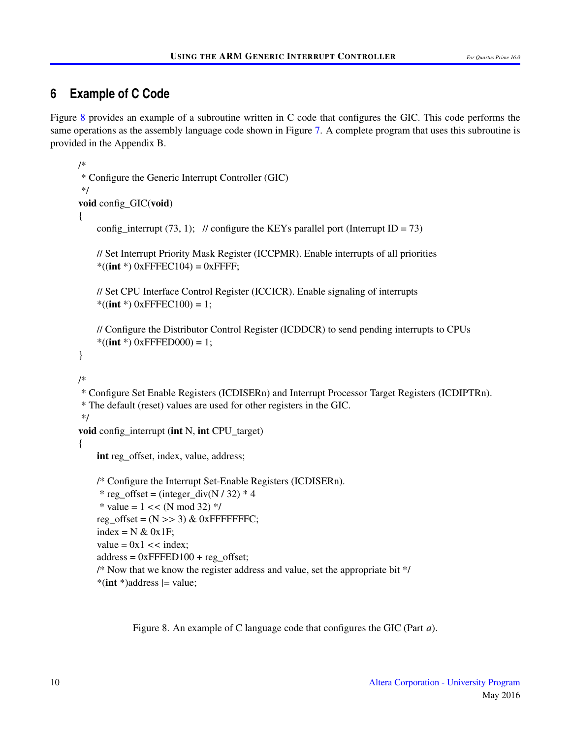## <span id="page-9-0"></span>**6 Example of C Code**

Figure [8](#page-9-1) provides an example of a subroutine written in C code that configures the GIC. This code performs the same operations as the assembly language code shown in Figure [7.](#page-7-1) A complete program that uses this subroutine is provided in the Appendix B.

```
/*
* Configure the Generic Interrupt Controller (GIC)
*/
void config_GIC(void)
{
    config interrupt (73, 1); // configure the KEYs parallel port (Interrupt ID = 73)
    // Set Interrupt Priority Mask Register (ICCPMR). Enable interrupts of all priorities
    *((int ^{*}) 0xFFFEC104) = 0xFFFF;
    // Set CPU Interface Control Register (ICCICR). Enable signaling of interrupts
    *((int *) 0xFFFEC100) = 1;
    // Configure the Distributor Control Register (ICDDCR) to send pending interrupts to CPUs
    *((int *) 0xFFFED000) = 1;
}
/*
* Configure Set Enable Registers (ICDISERn) and Interrupt Processor Target Registers (ICDIPTRn).
* The default (reset) values are used for other registers in the GIC.
*/
void config_interrupt (int N, int CPU_target)
{
    int reg_offset, index, value, address;
    /* Configure the Interrupt Set-Enable Registers (ICDISERn).
     * reg_offset = (integer_div(N / 32) * 4
     * value = 1 \lt \lt (N \mod 32) */
    reg_offset = (N \gg 3) & 0xFFFFFFFC;
    index = N \& 0x1F;
    value = 0x1 \lt index;
    address = 0xFFFED100 + reg offset;
    /* Now that we know the register address and value, set the appropriate bit */
```
 $*(int \cdot)a$ ddress  $|=$  value;

Figure 8. An example of C language code that configures the GIC (Part *a*).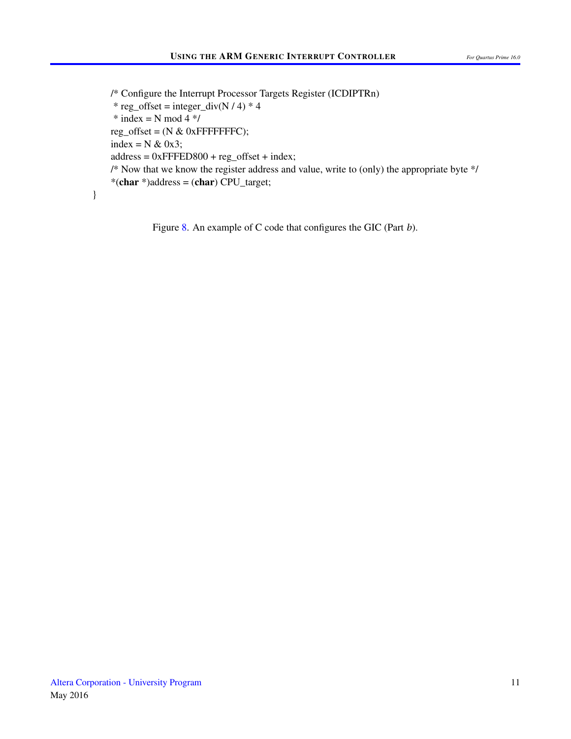/\* Configure the Interrupt Processor Targets Register (ICDIPTRn) \* reg\_offset = integer\_div(N / 4) \* 4  $*$  index = N mod 4  $*/$ reg\_offset =  $(N & 0 \text{xFFFFFFFC})$ ; index =  $N \& 0x3$ ;  $address = 0xFFFED800 + reg_offset + index;$ /\* Now that we know the register address and value, write to (only) the appropriate byte \*/ \*(char \*)address = (char) CPU\_target;

Figure [8.](#page-9-1) An example of C code that configures the GIC (Part *b*).

}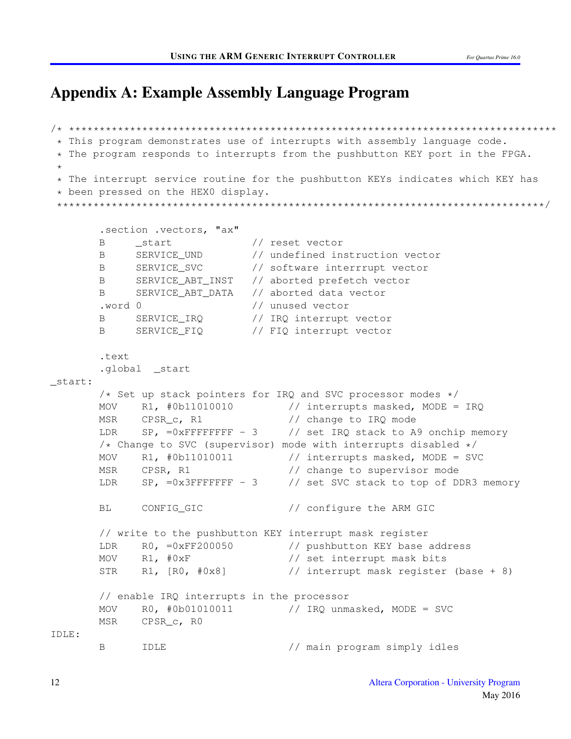# Appendix A: Example Assembly Language Program

```
/* ********************************************************************************
 * This program demonstrates use of interrupts with assembly language code.
 * The program responds to interrupts from the pushbutton KEY port in the FPGA.
 *
 * The interrupt service routine for the pushbutton KEYs indicates which KEY has
 * been pressed on the HEX0 display.
 ********************************************************************************/
       .section .vectors, "ax"
       B _start // reset vector
       B SERVICE UND // undefined instruction vector
       B SERVICE SVC // software interrrupt vector
       B SERVICE_ABT_INST // aborted prefetch vector
       B SERVICE_ABT_DATA // aborted data vector
       .word 0 // unused vector
       B SERVICE_IRQ // IRQ interrupt vector
       B SERVICE_FIQ // FIQ interrupt vector
       .text
       .global _start
_start:
       /* Set up stack pointers for IRQ and SVC processor modes */
      MOV R1, #0b11010010 // interrupts masked, MODE = IRQ
      MSR CPSR_c, R1 // change to IRQ mode
      LDR SP, =0xFFFFFFFF - 3 \frac{1}{2} set IRQ stack to A9 onchip memory
       /* Change to SVC (supervisor) mode with interrupts disabled */MOV R1, #0b11010011 // interrupts masked, MODE = SVC
      MSR CPSR, R1 // change to supervisor mode
       LDR SP, =0x3FFFFFFF - 3 // set SVC stack to top of DDR3 memory
       BL CONFIG_GIC // configure the ARM GIC
       // write to the pushbutton KEY interrupt mask register
       LDR RO, =0xFF200050 // pushbutton KEY base address
       MOV R1, #0xF // set interrupt mask bits
       STR R1, [R0, #0x8] // interrupt mask register (base + 8)
       // enable IRQ interrupts in the processor
      MOV R0, #0b01010011 // IRQ unmasked, MODE = SVC
      MSR CPSR_c, R0
IDLE:
       B IDLE // main program simply idles
```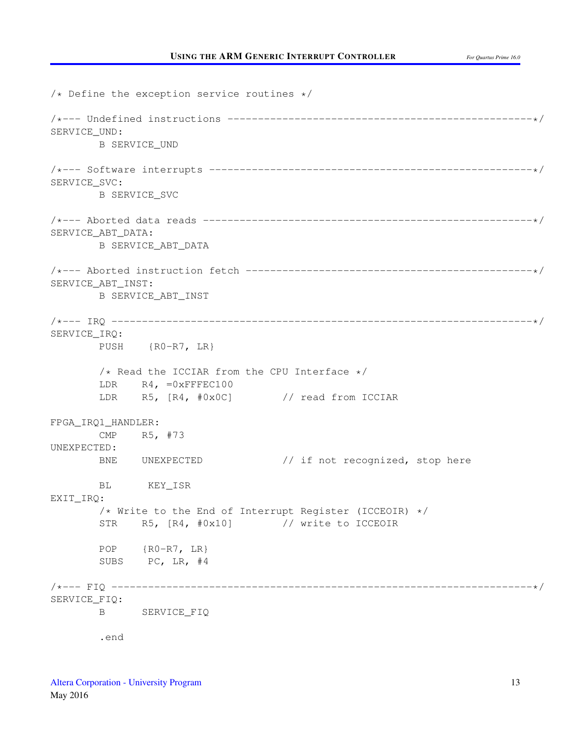$/*$  Define the exception service routines  $*/$ /\*--- Undefined instructions --------------------------------------------------\*/ SERVICE\_UND: B SERVICE\_UND /\*--- Software interrupts -----------------------------------------------------\*/ SERVICE\_SVC: B SERVICE\_SVC /\*--- Aborted data reads ------------------------------------------------------\*/ SERVICE\_ABT\_DATA: B SERVICE\_ABT\_DATA /\*--- Aborted instruction fetch -----------------------------------------------\*/ SERVICE\_ABT\_INST: B SERVICE\_ABT\_INST /\*--- IRQ ---------------------------------------------------------------------\*/ SERVICE\_IRQ: PUSH {R0-R7, LR}  $/*$  Read the ICCIAR from the CPU Interface  $*/$ LDR R4, =0xFFFEC100 LDR R5, [R4, #0x0C] // read from ICCIAR FPGA\_IRQ1\_HANDLER: CMP R5, #73 UNEXPECTED: BNE UNEXPECTED // if not recognized, stop here BL KEY\_ISR EXIT\_IRQ: /\* Write to the End of Interrupt Register (ICCEOIR) \*/ STR R5, [R4, #0x10] // write to ICCEOIR POP {R0-R7, LR} SUBS PC, LR, #4 /\*--- FIQ ---------------------------------------------------------------------\*/ SERVICE\_FIQ: B SERVICE\_FIQ .end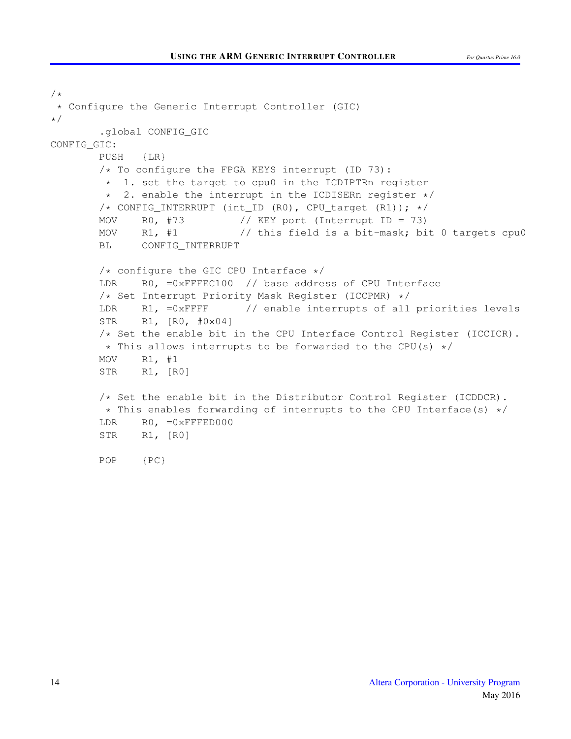```
/*
 * Configure the Generic Interrupt Controller (GIC)
*/
       .global CONFIG_GIC
CONFIG_GIC:
       PUSH {LR}
       /* To configure the FPGA KEYS interrupt (ID 73):
        * 1. set the target to cpu0 in the ICDIPTRn register
        * 2. enable the interrupt in the ICDISERn register */
       /* CONFIG_INTERRUPT (int_ID (R0), CPU_target (R1)); */
       MOV R0, #73 // KEY port (Interrupt ID = 73)
       MOV R1, #1 // this field is a bit-mask; bit 0 targets cpu0
       BL CONFIG_INTERRUPT
       /* configure the GIC CPU Interface */LDR RO, =0xFFFEC100 // base address of CPU Interface
       /* Set Interrupt Priority Mask Register (ICCPMR) */
       LDR R1, =0xFFFF // enable interrupts of all priorities levels
       STR R1, [R0, #0x04]
       /* Set the enable bit in the CPU Interface Control Register (ICCICR).
        * This allows interrupts to be forwarded to the CPU(s) */MOV R1, #1
       STR R1, [R0]
       /* Set the enable bit in the Distributor Control Register (ICDDCR).
        * This enables forwarding of interrupts to the CPU Interface(s) */
       LDR R0, =0xFFFED000
       STR R1, [R0]
       POP {PC}
```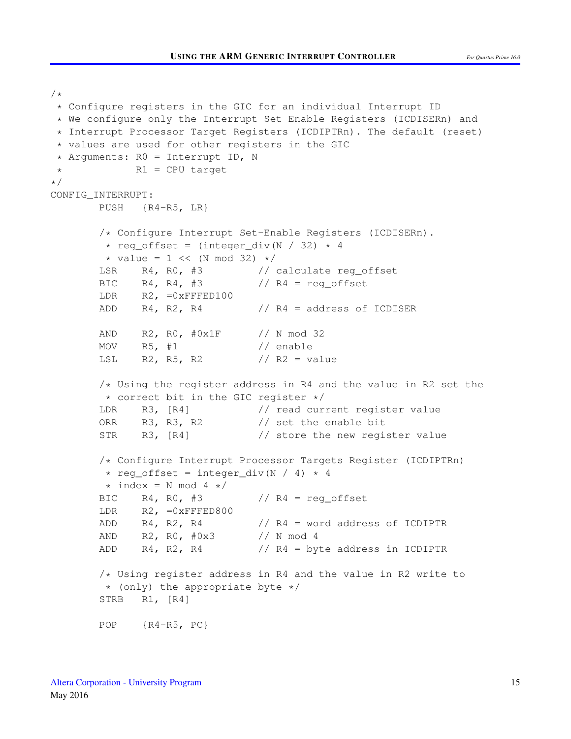```
* Configure registers in the GIC for an individual Interrupt ID
 * We configure only the Interrupt Set Enable Registers (ICDISERn) and
 * Interrupt Processor Target Registers (ICDIPTRn). The default (reset)
 * values are used for other registers in the GIC
 * Arguments: R0 = Interrupt ID, N
* R1 = CPU target
*/
CONFIG_INTERRUPT:
       PUSH {R4-R5, LR}
       /* Configure Interrupt Set-Enable Registers (ICDISERn).
        * reg_offset = (integer_div(N / 32) * 4
        \star value = 1 << (N mod 32) \star/
       LSR R4, R0, #3 // calculate reg_offset
       BIC R4, R4, #3 // R4 = \text{req offset}LDR R2, =0xFFFED100
       ADD R4, R2, R4 \qquad // R4 = address of ICDISER
       AND R2, R0, #0x1F // N mod 32
       MOV R5, #1 // enable
       LSL R2, R5, R2 // R2 = value
       /* Using the register address in R4 and the value in R2 set the
        * correct bit in the GIC register */
       LDR R3, [R4] // read current register value
       ORR R3, R3, R2 // set the enable bit
       STR R3, [R4] // store the new register value
       /* Configure Interrupt Processor Targets Register (ICDIPTRn)
        * reg_offset = integer_div(N / 4) * 4
        \star index = N mod 4 \star/
       BIC R4, R0, #3 // R4 = \text{req\_offset}LDR R2, =0xFFFED800
       ADD R4, R2, R4 // R4 = word address of ICDIPTR
       AND R2, R0, #0x3 // N mod 4
       ADD R4, R2, R4 // R4 = byte address in ICDIPTR
       /* Using register address in R4 and the value in R2 write to
        * (only) the appropriate byte */STRB R1, [R4]
       POP {R4-R5, PC}
```
 $/$ \*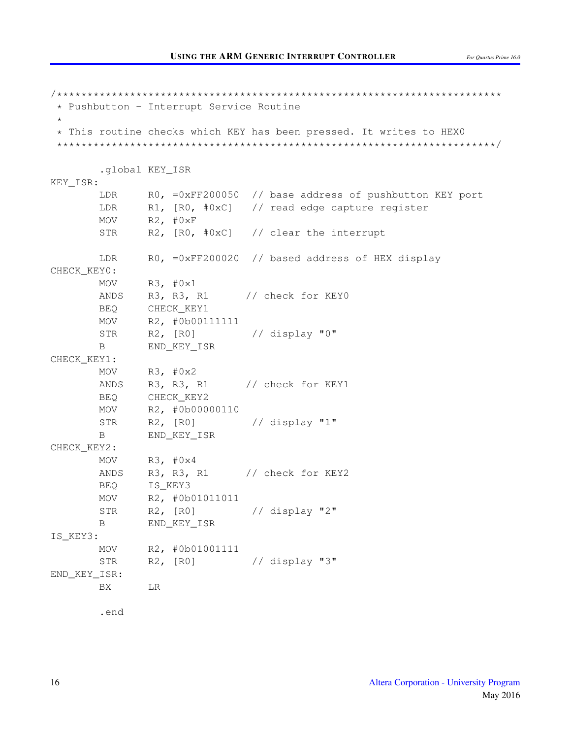/\*\*\*\*\*\*\*\*\*\*\*\*\*\*\*\*\*\*\*\*\*\*\*\*\*\*\*\*\*\*\*\*\*\*\*\*\*\*\*\*\*\*\*\*\*\*\*\*\*\*\*\*\*\*\*\*\*\*\*\*\*\*\*\*\*\*\*\*\*\*\*\*\* \* Pushbutton - Interrupt Service Routine \* \* This routine checks which KEY has been pressed. It writes to HEX0 \*\*\*\*\*\*\*\*\*\*\*\*\*\*\*\*\*\*\*\*\*\*\*\*\*\*\*\*\*\*\*\*\*\*\*\*\*\*\*\*\*\*\*\*\*\*\*\*\*\*\*\*\*\*\*\*\*\*\*\*\*\*\*\*\*\*\*\*\*\*\*\*/ .global KEY\_ISR KEY\_ISR: LDR RO, =0xFF200050 // base address of pushbutton KEY port LDR R1, [R0, #0xC] // read edge capture register MOV R2, #0xF STR R2, [R0, #0xC] // clear the interrupt LDR RO, =0xFF200020 // based address of HEX display CHECK\_KEY0: MOV R3, #0x1 ANDS R3, R3, R1 // check for KEY0 BEQ CHECK\_KEY1 MOV R2, #0b00111111 STR R2, [R0] // display "0" B END\_KEY\_ISR CHECK\_KEY1: MOV  $R3, #0x2$ ANDS R3, R3, R1 // check for KEY1 BEQ CHECK\_KEY2 MOV R2, #0b00000110 STR R2, [R0] // display "1" B END\_KEY\_ISR CHECK\_KEY2: MOV R3, #0x4 ANDS R3, R3, R1 // check for KEY2 BEO IS KEY3 MOV R2, #0b01011011 STR R2, [R0] // display "2" B END\_KEY\_ISR IS\_KEY3: MOV R2, #0b01001111 STR R2, [R0] // display "3" END\_KEY\_ISR: BX LR

.end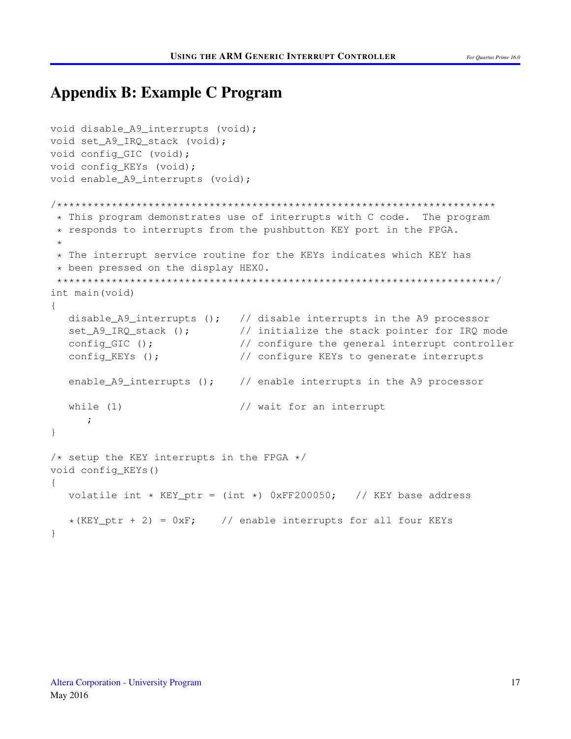## Appendix B: Example C Program

```
void disable_A9_interrupts (void);
void set_A9_IRQ_stack (void);
void config_GIC (void);
void config_KEYs (void);
void enable_A9_interrupts (void);
/************************************************************************
 * This program demonstrates use of interrupts with C code. The program
 * responds to interrupts from the pushbutton KEY port in the FPGA.
 *
 * The interrupt service routine for the KEYs indicates which KEY has
 * been pressed on the display HEX0.
 ************************************************************************/
int main(void)
{
  disable_A9_interrupts (); // disable interrupts in the A9 processor
  set_A9_IRQ_stack (); \frac{1}{2} // initialize the stack pointer for IRQ mode
  config_GIC (); // configure the general interrupt controller
   config_KEYs (); \frac{1}{2} // configure KEYs to generate interrupts
   enable_A9_interrupts (); \frac{1}{2} // enable interrupts in the A9 processor
   while (1) \frac{1}{2} // wait for an interrupt
     ;
}
/* setup the KEY interrupts in the FPGA */void config_KEYs()
{
   volatile int * KEY_ptr = (int *) 0xFF200050; // KEY base address
  *(KEY\_ptr + 2) = 0xF; // enable interrupts for all four KEYs
}
```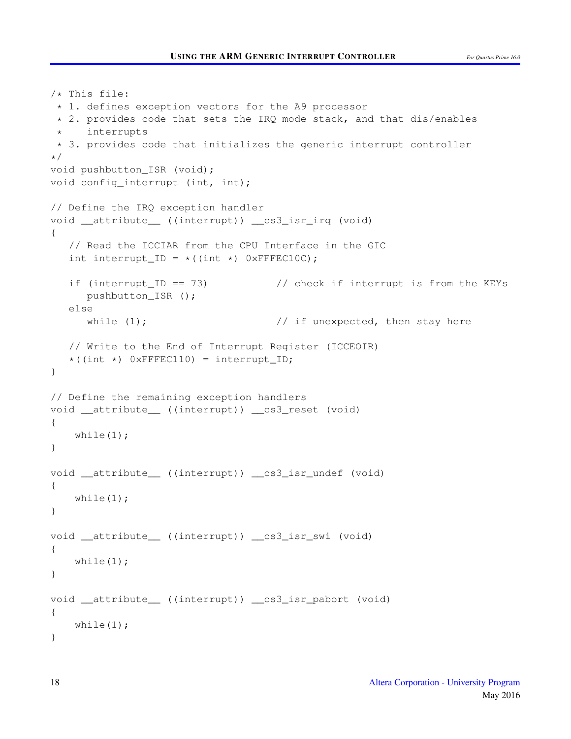```
/* This file:
 * 1. defines exception vectors for the A9 processor
 * 2. provides code that sets the IRQ mode stack, and that dis/enables
     interrupts
 * 3. provides code that initializes the generic interrupt controller
*/
void pushbutton_ISR (void);
void config_interrupt (int, int);
// Define the IRQ exception handler
void __attribute__ ((interrupt)) __cs3_isr_irq (void)
{
   // Read the ICCIAR from the CPU Interface in the GIC
   int interrupt ID = *((int *) 0xFFFEC10C);
   if (interrupt ID == 73) \frac{1}{2} check if interrupt is from the KEYs
     pushbutton_ISR ();
   else
     while (1); \frac{1}{2} // if unexpected, then stay here
  // Write to the End of Interrupt Register (ICCEOIR)
  *(int *) 0xFFFEC110) = interrupt_ID;
}
// Define the remaining exception handlers
void __attribute__ ((interrupt)) __cs3_reset (void)
{
   while(1);
}
void __attribute__ ((interrupt)) __cs3_isr_undef (void)
{
   while(1);
}
void __attribute__ ((interrupt)) __cs3_isr_swi (void)
{
   while(1);
}
void __attribute__ ((interrupt)) __cs3_isr_pabort (void)
{
   while(1);
}
```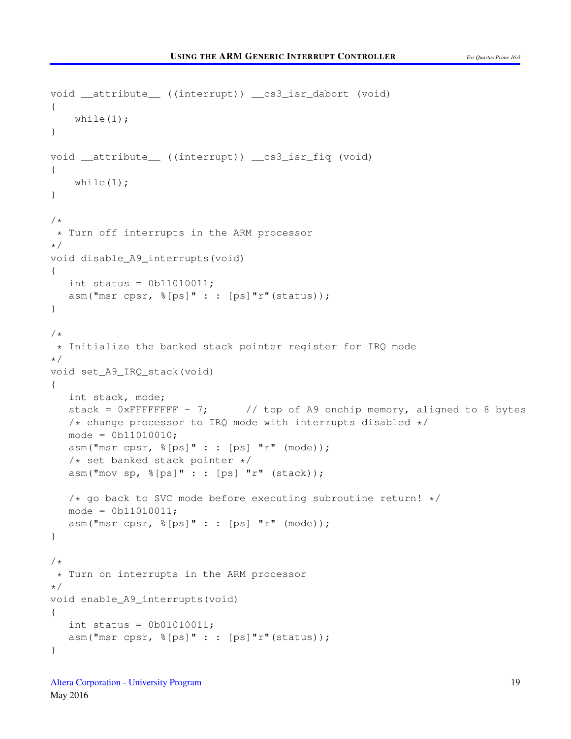```
void __attribute__ ((interrupt)) __cs3_isr_dabort (void)
{
    while(1);
}
void __attribute__ ((interrupt)) __cs3_isr_fiq (void)
{
    while(1);
}
/ \star* Turn off interrupts in the ARM processor
\star/void disable_A9_interrupts(void)
{
   int status = 0b11010011;
   asm("msr cpsr, %[ps]" : : [ps]"r"(status));
}
/*
* Initialize the banked stack pointer register for IRQ mode
\star/void set_A9_IRQ_stack(void)
{
   int stack, mode;
   stack = 0xFFFFFFFF - 7; // top of A9 onchip memory, aligned to 8 bytes
   /* change processor to IRQ mode with interrupts disabled */
  mode = 0b11010010;asm("msr cpsr, \S[ps]" : : [ps]"r" (mode));
   /* set banked stack pointer */
   asm("mov sp, %[ps]" : : [ps] "r" (stack));
   /* go back to SVC mode before executing subroutine return! */mode = 0b11010011;asm("msr cpsr, %[ps]" : : [ps] "r" (mode));
}
/*
* Turn on interrupts in the ARM processor
*/
void enable_A9_interrupts(void)
{
   int status = 0b01010011;
   asm("msr cpsr, \frac{1}{2} [ps]" : : [ps]"r"(status));
}
```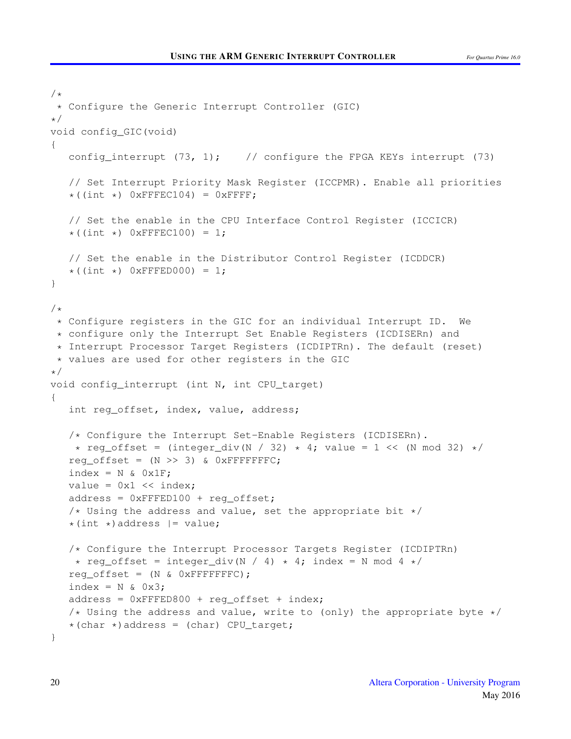```
/*
 * Configure the Generic Interrupt Controller (GIC)
*/
void config_GIC(void)
{
   config_interrupt (73, 1); // configure the FPGA KEYs interrupt (73)
   // Set Interrupt Priority Mask Register (ICCPMR). Enable all priorities
   *((int *) 0xFFFEC104) = 0xFFFF;
   // Set the enable in the CPU Interface Control Register (ICCICR)
   \star ((int \star) OXFFFEC100) = 1;
   // Set the enable in the Distributor Control Register (ICDDCR)
   \star ((int \star) 0xFFFED000) = 1;
}
/*
 * Configure registers in the GIC for an individual Interrupt ID. We
 * configure only the Interrupt Set Enable Registers (ICDISERn) and
 * Interrupt Processor Target Registers (ICDIPTRn). The default (reset)
 * values are used for other registers in the GIC
*/
void config_interrupt (int N, int CPU_target)
{
   int reg_offset, index, value, address;
   /* Configure the Interrupt Set-Enable Registers (ICDISERn).
    * reg_offset = (integer_div(N / 32) * 4; value = 1 \leq \leq (N mod 32) */
   reg offset = (N \gg 3) & 0xFFFFFFFC;
   index = N & Qx1F;value = 0x1 \leq \text{index};
   address = 0xFFED100 + req_offset;/* Using the address and value, set the appropriate bit */*(int *) address | = value;
   /* Configure the Interrupt Processor Targets Register (ICDIPTRn)
   \star reg_offset = integer_div(N / 4) \star 4; index = N mod 4 \star/
   reg_offset = (N & QXFFFFFFFC);
   index = N \& 0x3;address = 0xFFFED800 + reg_offset + index;/* Using the address and value, write to (only) the appropriate byte */*(char *)address = (char) CPU_target;
}
```